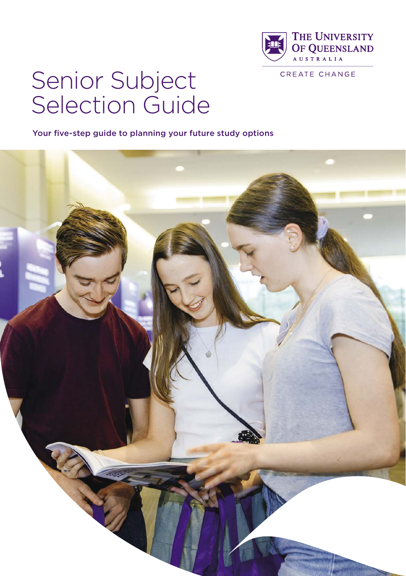

# Senior Subject Selection Guide

Your five-step guide to planning your future study options

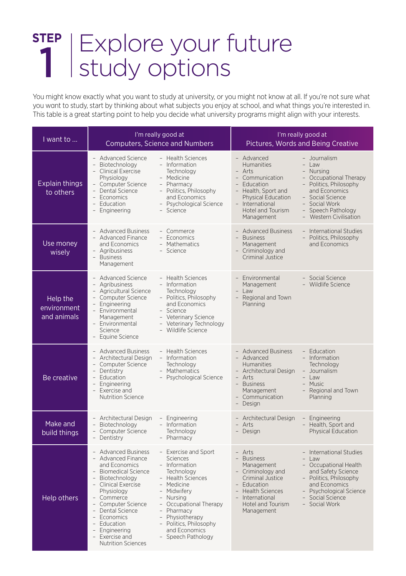# Explore your future study options **STEP** 1

You might know exactly what you want to study at university, or you might not know at all. If you're not sure what you want to study, start by thinking about what subjects you enjoy at school, and what things you're interested in. This table is a great starting point to help you decide what university programs might align with your interests.

| I want to                              |                                                                                                                                                                                                                                                                                                                                                                                                                                         | I'm really good at<br><b>Computers, Science and Numbers</b>                                                                                                                                                                                                       | I'm really good at<br>Pictures, Words and Being Creative                                                                                                                                                                               |                                                                                                                                                                                                                          |  |  |  |
|----------------------------------------|-----------------------------------------------------------------------------------------------------------------------------------------------------------------------------------------------------------------------------------------------------------------------------------------------------------------------------------------------------------------------------------------------------------------------------------------|-------------------------------------------------------------------------------------------------------------------------------------------------------------------------------------------------------------------------------------------------------------------|----------------------------------------------------------------------------------------------------------------------------------------------------------------------------------------------------------------------------------------|--------------------------------------------------------------------------------------------------------------------------------------------------------------------------------------------------------------------------|--|--|--|
| <b>Explain things</b><br>to others     | - Advanced Science<br>- Biotechnology<br>$\frac{1}{2}$<br><b>Clinical Exercise</b><br>Physiology<br>- Computer Science<br>$\equiv$<br>Dental Science<br>- Economics<br>$\overline{\phantom{0}}$<br>Education<br>$\overline{\phantom{0}}$<br>Engineering                                                                                                                                                                                 | - Health Sciences<br>- Information<br>Technology<br>Medicine<br>- Pharmacy<br>- Politics, Philosophy<br>and Economics<br>- Psychological Science<br>- Science                                                                                                     | - Advanced<br><b>Humanities</b><br>$\overline{a}$<br>Arts<br>$\overline{a}$<br>Communication<br>Education<br>Health, Sport and<br>$\overline{\phantom{0}}$<br>Physical Education<br>- International<br>Hotel and Tourism<br>Management | - Journalism<br>- I aw<br>Nursing<br>Occupational Therapy<br>- Politics, Philosophy<br>and Economics<br>- Social Science<br>- Social Work<br>Speech Pathology<br>$\overline{\phantom{a}}$<br><b>Western Civilisation</b> |  |  |  |
| Use money<br>wisely                    | - Advanced Business<br>- Advanced Finance<br>and Economics<br>- Agribusiness<br>- Business<br>Management                                                                                                                                                                                                                                                                                                                                | - Commerce<br>- Economics<br>- Mathematics<br>- Science                                                                                                                                                                                                           | - Advanced Business<br><b>Business</b><br>Management<br>- Criminology and<br>Criminal Justice                                                                                                                                          | - International Studies<br>Politics, Philosophy<br>and Economics                                                                                                                                                         |  |  |  |
| Help the<br>environment<br>and animals | <b>Advanced Science</b><br>- Agribusiness<br>- Agricultural Science<br>- Computer Science<br>- Engineering<br>- Environmental<br>Management<br>- Environmental<br>Science<br>- Equine Science                                                                                                                                                                                                                                           | - Health Sciences<br>- Information<br>Technology<br>- Politics, Philosophy<br>and Economics<br>- Science<br>- Veterinary Science<br>- Veterinary Technology<br>- Wildlife Science                                                                                 | Environmental<br>Management<br>Law<br>$\overline{\phantom{0}}$<br>Regional and Town<br>Planning                                                                                                                                        | - Social Science<br>- Wildlife Science                                                                                                                                                                                   |  |  |  |
| Be creative                            | - Advanced Business<br>- Health Sciences<br>- Architectural Design<br>- Information<br>$\overline{\phantom{0}}$<br>Technology<br>Computer Science<br>Dentistry<br>- Mathematics<br>$\sim$<br>- Education<br>- Psychological Science<br>$\overline{\phantom{0}}$<br>Engineering<br>- Exercise and<br><b>Nutrition Science</b>                                                                                                            |                                                                                                                                                                                                                                                                   | - Advanced Business<br>- Advanced<br><b>Humanities</b><br>- Architectural Design<br>- Arts<br><b>Business</b><br>$\overline{\phantom{0}}$<br>Management<br>- Communication<br>- Design                                                 | - Education<br>- Information<br>Technology<br>- Journalism<br>- Law<br>- Music<br>- Regional and Town<br>Planning                                                                                                        |  |  |  |
| Make and<br>build things               | - Architectural Design<br>- Biotechnology<br>$\bar{\phantom{a}}$<br>Computer Science<br>$\overline{\phantom{0}}$<br>Dentistry                                                                                                                                                                                                                                                                                                           | - Engineering<br>- Information<br>Technology<br>- Pharmacy                                                                                                                                                                                                        | - Architectural Design<br>- Arts<br>- Design                                                                                                                                                                                           | Engineering<br>Health, Sport and<br>Physical Education                                                                                                                                                                   |  |  |  |
| Help others                            | - Advanced Business<br>- Advanced Finance<br>and Economics<br>- Biomedical Science<br>- Biotechnology<br>$\overline{\phantom{a}}$<br><b>Clinical Exercise</b><br>Physiology<br>- Commerce<br>$\overline{\phantom{a}}$<br>Computer Science<br>Dental Science<br>$\sim$<br>$\overline{a}$<br>Economics<br>$\overline{\phantom{0}}$<br>Education<br>$\overline{\phantom{0}}$<br>Engineering<br>- Exercise and<br><b>Nutrition Sciences</b> | - Exercise and Sport<br><b>Sciences</b><br>- Information<br>Technology<br>- Health Sciences<br>- Medicine<br>- Midwiferv<br>- Nursing<br>- Occupational Therapy<br>- Pharmacy<br>- Physiotherapy<br>- Politics, Philosophy<br>and Economics<br>- Speech Pathology | - Arts<br>- Business<br>Management<br>- Criminology and<br>Criminal Justice<br>Education<br>- Health Sciences<br>- International<br>Hotel and Tourism<br>Management                                                                    | - International Studies<br>- Law<br>- Occupational Health<br>and Safety Science<br>- Politics, Philosophy<br>and Economics<br>- Psychological Science<br>- Social Science<br>- Social Work                               |  |  |  |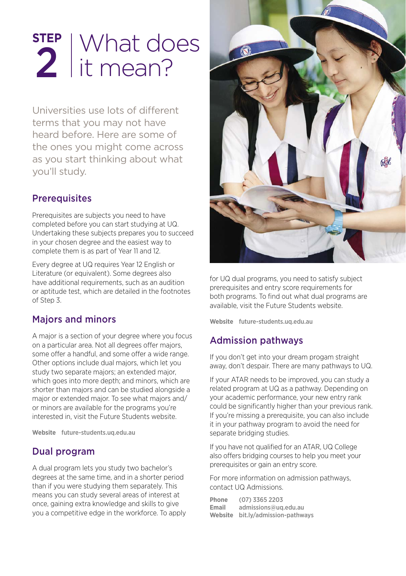# What does it mean? **STEP** 2

Universities use lots of different terms that you may not have heard before. Here are some of the ones you might come across as you start thinking about what you'll study.

#### **Prerequisites**

Prerequisites are subjects you need to have completed before you can start studying at UQ. Undertaking these subjects prepares you to succeed in your chosen degree and the easiest way to complete them is as part of Year 11 and 12.

Every degree at UQ requires Year 12 English or Literature (or equivalent). Some degrees also have additional requirements, such as an audition or aptitude test, which are detailed in the footnotes of Step 3.

## Majors and minors

A major is a section of your degree where you focus on a particular area. Not all degrees offer majors, some offer a handful, and some offer a wide range. Other options include dual majors, which let you study two separate majors; an extended major, which goes into more depth; and minors, which are shorter than majors and can be studied alongside a major or extended major. To see what majors and/ or minors are available for the programs you're interested in, visit the Future Students website.

**Website** [future-students.uq.edu.au](http://future-students.uq.edu.au)

#### Dual program

A dual program lets you study two bachelor's degrees at the same time, and in a shorter period than if you were studying them separately. This means you can study several areas of interest at once, gaining extra knowledge and skills to give you a competitive edge in the workforce. To apply



for UQ dual programs, you need to satisfy subject prerequisites and entry score requirements for both programs. To find out what dual programs are available, visit the Future Students website.

**Website** [future-students.uq.edu.au](http://future-students.uq.edu.au)

## Admission pathways

If you don't get into your dream progam straight away, don't despair. There are many pathways to UQ.

If your ATAR needs to be improved, you can study a related program at UQ as a pathway. Depending on your academic performance, your new entry rank could be significantly higher than your previous rank. If you're missing a prerequisite, you can also include it in your pathway program to avoid the need for separate bridging studies.

If you have not qualified for an ATAR, UQ College also offers bridging courses to help you meet your prerequisites or gain an entry score.

For more information on admission pathways, contact UQ Admissions.

| Phone   | $(07)$ 3365 2203          |
|---------|---------------------------|
| Email   | admissions@ug.edu.au      |
| Website | bit.ly/admission-pathways |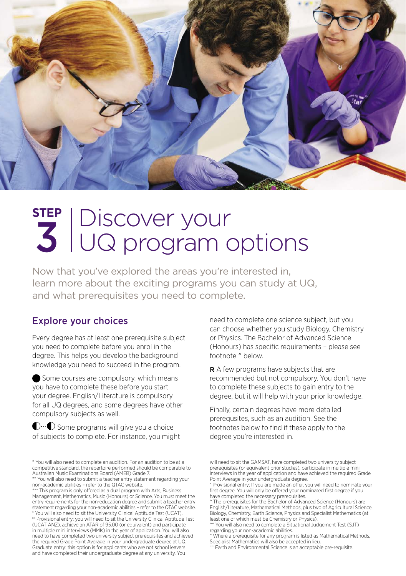

# Discover your UQ program options **STEP** 3

Now that you've explored the areas you're interested in, learn more about the exciting programs you can study at UQ, and what prerequisites you need to complete.

#### Explore your choices

Every degree has at least one prerequisite subject you need to complete before you enrol in the degree. This helps you develop the background knowledge you need to succeed in the program.

Some courses are compulsory, which means you have to complete these before you start your degree. English/Literature is compulsory for all UQ degrees, and some degrees have other compulsory subjects as well.

 $\mathbb{C}\cdots\mathbb{C}$  Some programs will give you a choice of subjects to complete. For instance, you might need to complete one science subject, but you can choose whether you study Biology, Chemistry or Physics. The Bachelor of Advanced Science (Honours) has specific requirements – please see footnote ^ below.

R A few programs have subjects that are recommended but not compulsory. You don't have to complete these subjects to gain entry to the degree, but it will help with your prior knowledge.

Finally, certain degrees have more detailed prerequsites, such as an audition. See the footnotes below to find if these apply to the degree you're interested in.

will need to sit the GAMSAT, have completed two university subject prerequisites (or equivalent prior studies), participate in multiple mini interviews in the year of application and have achieved the required Grade Point Average in your undergraduate degree.

<sup>\*</sup> You will also need to complete an audition. For an audition to be at a competitive standard, the repertoire performed should be comparable to Australian Music Examinations Board (AMEB) Grade 7. \*\* You will also need to submit a teacher entry statement regarding your

non-academic abilities – refer to the QTAC website. \*\*\* This program is only offered as a dual program with Arts, Business

Management, Mathematics, Music (Honours) or Science. You must meet the entry requirements for the non-education degree and submit a teacher entry statement regarding your non-academic abilities – refer to the QTAC website. x You will also need to sit the University Clinical Aptitude Test (UCAT). xx Provisional entry: you will need to sit the University Clinical Aptitude Test

<sup>(</sup>UCAT ANZ), achieve an ATAR of 95.00 (or equivalent) and participate in multiple mini interviews (MMIs) in the year of application. You will also need to have completed two university subject prerequisites and achieved the required Grade Point Average in your undergraduate degree at UQ. Graduate entry: this option is for applicants who are not school leavers and have completed their undergraduate degree at any university. You

<sup>+</sup> Provisional entry: If you are made an offer, you will need to nominate your first degree. You will only be offered your nominated first degree if you have completed the necessary prerequisites.

<sup>^</sup> The prerequisites for the Bachelor of Advanced Science (Honours) are English/Literature, Mathematical Methods, plus two of Agricultural Science, Biology, Chemistry, Earth Science, Physics and Specialist Mathematics (at least one of which must be Chemistry or Physics). ^^ You will also need to complete a Situational Judgement Test (SJT)

regarding your non-academic abilities.

<sup>~</sup> Where a prerequisite for any program is listed as Mathematical Methods, Specialist Mathematics will also be accepted in lieu.

<sup>~~</sup> Earth and Environmental Science is an acceptable pre-requisite.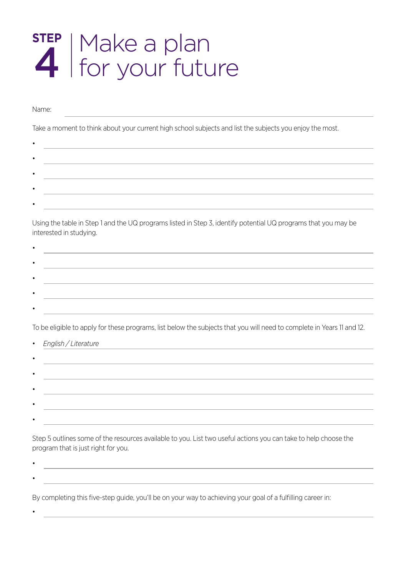# Make a plan for your future **STEP** 4

Name:

•

• •

•

Take a moment to think about your current high school subjects and list the subjects you enjoy the most.

Using the table in Step 1 and the UQ programs listed in Step 3, identify potential UQ programs that you may be interested in studying.

To be eligible to apply for these programs, list below the subjects that you will need to complete in Years 11 and 12.

| • English / Literature |
|------------------------|
|                        |
|                        |
|                        |
|                        |
|                        |

Step 5 outlines some of the resources available to you. List two useful actions you can take to help choose the program that is just right for you.

By completing this five-step guide, you'll be on your way to achieving your goal of a fulfilling career in: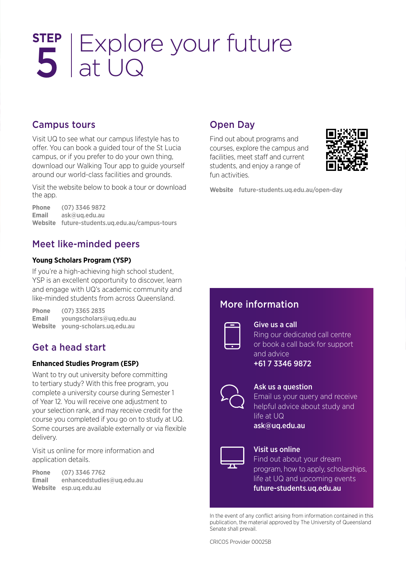# Explore your future at UQ **STEP** 5

#### Campus tours

Visit UQ to see what our campus lifestyle has to offer. You can book a guided tour of the St Lucia campus, or if you prefer to do your own thing, download our Walking Tour app to guide yourself around our world-class facilities and grounds.

Visit the website below to book a tour or download the app.

**Phone** (07) 3346 9872<br>**Email** ask@ug.edu.au **Email** [ask@uq.edu.au](mailto:ask@uq.edu.au) **Website** [future-students.uq.edu.au/campus-tours](http://future-students.uq.edu.au/campus-tours)

#### Meet like-minded peers

#### **Young Scholars Program (YSP)**

If you're a high-achieving high school student, YSP is an excellent opportunity to discover, learn and engage with UQ's academic community and like-minded students from across Queensland.

**Phone** (07) 3365 2835 **Email** [youngscholars@uq.edu.au](mailto:youngscholars%40uq.edu.au?subject=Young%20Scholars%20enquiry) **Website** [young-scholars.uq.edu.au](http://young-scholars.uq.edu.au)

#### Get a head start

#### **Enhanced Studies Program (ESP)**

Want to try out university before committing to tertiary study? With this free program, you complete a university course during Semester 1 of Year 12. You will receive one adjustment to your selection rank, and may receive credit for the course you completed if you go on to study at UQ. Some courses are available externally or via flexible delivery.

Visit us online for more information and application details.

**Phone** (07) 3346 7762 **Email** [enhancedstudies@uq.edu.au](mailto:enhancedstudies%40uq.edu.au?subject=Enhanced%20Studies%20enquiry) **Website** [esp.uq.edu.au](http://esp.uq.edu.au)

#### Open Day

Find out about programs and courses, explore the campus and facilities, meet staff and current students, and enjoy a range of fun activities.



**Website** [future-students.uq.edu.au/open-day](http://future-students.uq.edu.au/open-day)

#### More information



#### Give us a call

Ring our dedicated call centre or book a call back for support and advice

+61 7 3346 9872



#### Ask us a question

Email us your query and receive helpful advice about study and life at UQ [ask@uq.edu.au](mailto:ask@uq.edu.au)



#### Visit us online

Find out about your dream program, how to apply, scholarships, life at UQ and upcoming events [future-students.uq.edu.au](http://future-students.uq.edu.au)

In the event of any conflict arising from information contained in this publication, the material approved by The University of Queensland Senate shall prevail.

CRICOS Provider 00025B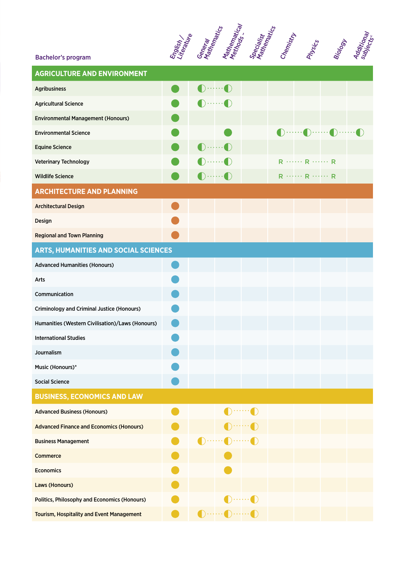

| <b>AGRICULTURE AND ENVIRONMENT</b>                |  |                                                     |                           |                           |  |             |                                                                                                                                                                                                                                                                                                                                                     |  |
|---------------------------------------------------|--|-----------------------------------------------------|---------------------------|---------------------------|--|-------------|-----------------------------------------------------------------------------------------------------------------------------------------------------------------------------------------------------------------------------------------------------------------------------------------------------------------------------------------------------|--|
| <b>Agribusiness</b>                               |  |                                                     | $\cdots \cdots$ $\bullet$ |                           |  |             |                                                                                                                                                                                                                                                                                                                                                     |  |
| <b>Agricultural Science</b>                       |  |                                                     |                           |                           |  |             |                                                                                                                                                                                                                                                                                                                                                     |  |
| <b>Environmental Management (Honours)</b>         |  |                                                     |                           |                           |  |             |                                                                                                                                                                                                                                                                                                                                                     |  |
| <b>Environmental Science</b>                      |  |                                                     |                           |                           |  |             | $\begin{picture}(20,20) \put(0,0){\line(1,0){10}} \put(15,0){\line(1,0){10}} \put(15,0){\line(1,0){10}} \put(15,0){\line(1,0){10}} \put(15,0){\line(1,0){10}} \put(15,0){\line(1,0){10}} \put(15,0){\line(1,0){10}} \put(15,0){\line(1,0){10}} \put(15,0){\line(1,0){10}} \put(15,0){\line(1,0){10}} \put(15,0){\line(1,0){10}} \put(15,0){\line(1$ |  |
| <b>Equine Science</b>                             |  | $\blacksquare$ ) $\cdots$ $\cdots$ $\blacksquare$ ) |                           |                           |  |             |                                                                                                                                                                                                                                                                                                                                                     |  |
| <b>Veterinary Technology</b>                      |  |                                                     | $\mathbb{D}$ $\mathbb{C}$ |                           |  | $R$ $R$ $R$ |                                                                                                                                                                                                                                                                                                                                                     |  |
| <b>Wildlife Science</b>                           |  | $\bigcap$ $\bigcirc$                                |                           |                           |  | $R$ $R$ $R$ |                                                                                                                                                                                                                                                                                                                                                     |  |
| <b>ARCHITECTURE AND PLANNING</b>                  |  |                                                     |                           |                           |  |             |                                                                                                                                                                                                                                                                                                                                                     |  |
| <b>Architectural Design</b>                       |  |                                                     |                           |                           |  |             |                                                                                                                                                                                                                                                                                                                                                     |  |
| Design                                            |  |                                                     |                           |                           |  |             |                                                                                                                                                                                                                                                                                                                                                     |  |
| <b>Regional and Town Planning</b>                 |  |                                                     |                           |                           |  |             |                                                                                                                                                                                                                                                                                                                                                     |  |
| ARTS, HUMANITIES AND SOCIAL SCIENCES              |  |                                                     |                           |                           |  |             |                                                                                                                                                                                                                                                                                                                                                     |  |
| <b>Advanced Humanities (Honours)</b>              |  |                                                     |                           |                           |  |             |                                                                                                                                                                                                                                                                                                                                                     |  |
| Arts                                              |  |                                                     |                           |                           |  |             |                                                                                                                                                                                                                                                                                                                                                     |  |
| Communication                                     |  |                                                     |                           |                           |  |             |                                                                                                                                                                                                                                                                                                                                                     |  |
| <b>Criminology and Criminal Justice (Honours)</b> |  |                                                     |                           |                           |  |             |                                                                                                                                                                                                                                                                                                                                                     |  |
| Humanities (Western Civilisation)/Laws (Honours)  |  |                                                     |                           |                           |  |             |                                                                                                                                                                                                                                                                                                                                                     |  |
| <b>International Studies</b>                      |  |                                                     |                           |                           |  |             |                                                                                                                                                                                                                                                                                                                                                     |  |
| Journalism                                        |  |                                                     |                           |                           |  |             |                                                                                                                                                                                                                                                                                                                                                     |  |
| Music (Honours)*                                  |  |                                                     |                           |                           |  |             |                                                                                                                                                                                                                                                                                                                                                     |  |
| <b>Social Science</b>                             |  |                                                     |                           |                           |  |             |                                                                                                                                                                                                                                                                                                                                                     |  |
| <b>BUSINESS, ECONOMICS AND LAW</b>                |  |                                                     |                           |                           |  |             |                                                                                                                                                                                                                                                                                                                                                     |  |
| <b>Advanced Business (Honours)</b>                |  |                                                     |                           |                           |  |             |                                                                                                                                                                                                                                                                                                                                                     |  |
| <b>Advanced Finance and Economics (Honours)</b>   |  |                                                     |                           |                           |  |             |                                                                                                                                                                                                                                                                                                                                                     |  |
| <b>Business Management</b>                        |  |                                                     |                           | $\cdots \cdots \bullet$   |  |             |                                                                                                                                                                                                                                                                                                                                                     |  |
| Commerce                                          |  |                                                     |                           |                           |  |             |                                                                                                                                                                                                                                                                                                                                                     |  |
| <b>Economics</b>                                  |  |                                                     |                           |                           |  |             |                                                                                                                                                                                                                                                                                                                                                     |  |
| Laws (Honours)                                    |  |                                                     |                           |                           |  |             |                                                                                                                                                                                                                                                                                                                                                     |  |
| Politics, Philosophy and Economics (Honours)      |  |                                                     |                           | $\bigcirc$ and $\bigcirc$ |  |             |                                                                                                                                                                                                                                                                                                                                                     |  |
| <b>Tourism, Hospitality and Event Management</b>  |  |                                                     |                           |                           |  |             |                                                                                                                                                                                                                                                                                                                                                     |  |